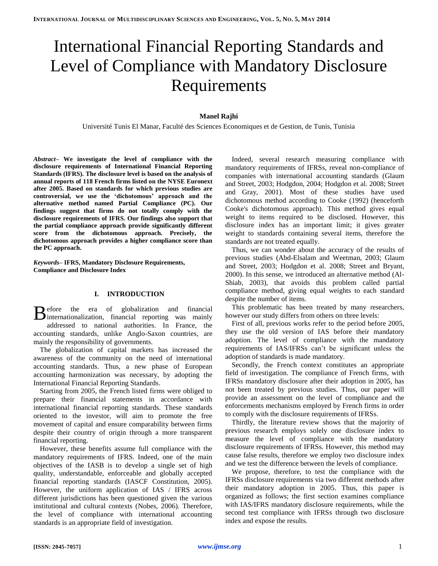# [International Financial Reporting Standards](https://www.google.tn/url?sa=t&rct=j&q=&esrc=s&source=web&cd=1&cad=rja&ved=0CCsQFjAA&url=http%3A%2F%2Ffr.wikipedia.org%2Fwiki%2FInternational_Financial_Reporting_Standards&ei=iwavUpXjMaiN0AWBtYC4CA&usg=AFQjCNHGeUZLGCzcUpQLsb9Zhrux9oKrVA&sig2=rYIf1YeuYezdRaJ6lGRWBA) and Level of Compliance with Mandatory Disclosure Requirements

# **Manel Rajhi**

Université Tunis El Manar, Faculté des Sciences Economiques et de Gestion, de Tunis, Tunisia

*Abstract–* **We investigate the level of compliance with the disclosure requirements of International Financial Reporting Standards (IFRS). The disclosure level is based on the analysis of annual reports of 118 French firms listed on the NYSE Euronext after 2005. Based on standards for which previous studies are controversial, we use the 'dichotomous' approach and the alternative method named Partial Compliance (PC). Our findings suggest that firms do not totally comply with the disclosure requirements of IFRS. Our findings also support that the partial compliance approach provide significantly different score from the dichotomous approach. Precisely, the dichotomous approach provides a higher compliance score than the PC approach.** 

*Keywords***– IFRS, Mandatory Disclosure Requirements, Compliance and Disclosure Index**

## **I. INTRODUCTION**

efore the era of globalization and financial Before the era of globalization and financial internationalization, financial reporting was mainly addressed to national authorities. In France, the accounting standards, unlike Anglo-Saxon countries, are mainly the responsibility of governments.

The globalization of capital markets has increased the awareness of the community on the need of international accounting standards. Thus, a new phase of European accounting harmonization was necessary, by adopting the [International Financial Reporting Standards.](http://www.google.fr/url?sa=t&rct=j&q=&esrc=s&frm=1&source=web&cd=1&cad=rja&ved=0CDwQFjAA&url=http%3A%2F%2Ffr.wikipedia.org%2Fwiki%2FInternational_Financial_Reporting_Standards&ei=m4SMUtDVCeKu0QWNzoBo&usg=AFQjCNHGeUZLGCzcUpQLsb9Zhrux9oKrVA&bvm=bv.56643336,d.d2k)

Starting from 2005, the French listed firms were obliged to prepare their financial statements in accordance with international financial reporting standards. These standards oriented to the investor, will aim to promote the free movement of capital and ensure comparability between firms despite their country of origin through a more transparent financial reporting.

However, these benefits assume full compliance with the mandatory requirements of IFRS. Indeed, one of the main objectives of the IASB is to develop a single set of high quality, understandable, enforceable and globally accepted financial reporting standards (IASCF Constitution, 2005). However, the uniform application of IAS / IFRS across different jurisdictions has been questioned given the various institutional and cultural contexts (Nobes, 2006). Therefore, the level of compliance with international accounting standards is an appropriate field of investigation.

Indeed, several research measuring compliance with mandatory requirements of IFRSs, reveal non-compliance of companies with international accounting standards (Glaum and Street, 2003; Hodgdon, 2004; Hodgdon et al. 2008; Street and Gray, 2001). Most of these studies have used dichotomous method according to Cooke (1992) (henceforth Cooke's dichotomous approach). This method gives equal weight to items required to be disclosed. However, this disclosure index has an important limit; it gives greater weight to standards containing several items, therefore the standards are not treated equally.

Thus, we can wonder about the accuracy of the results of previous studies (Abd-Elsalam and Weetman, 2003; Glaum and Street, 2003; Hodgdon et al. 2008; Street and Bryant, 2000). In this sense, we introduced an alternative method (Al-Shiab, 2003), that avoids this problem called partial compliance method, giving equal weights to each standard despite the number of items.

This problematic has been treated by many researchers, however our study differs from others on three levels:

First of all, previous works refer to the period before 2005, they use the old version of IAS before their mandatory adoption. The level of compliance with the mandatory requirements of IAS/IFRSs can't be significant unless the adoption of standards is made mandatory.

Secondly, the French context constitutes an appropriate field of investigation. The compliance of French firms, with IFRSs mandatory disclosure after their adoption in 2005, has not been treated by previous studies. Thus, our paper will provide an assessment on the level of compliance and the enforcements mechanisms employed by French firms in order to comply with the disclosure requirements of IFRSs.

Thirdly, the literature review shows that the majority of previous research employs solely one disclosure index to measure the level of compliance with the mandatory disclosure requirements of IFRSs. However, this method may cause false results, therefore we employ two disclosure index and we test the difference between the levels of compliance.

We propose, therefore, to test the compliance with the IFRSs disclosure requirements via two different methods after their mandatory adoption in 2005. Thus, this paper is organized as follows; the first section examines compliance with IAS/IFRS mandatory disclosure requirements, while the second test compliance with IFRSs through two disclosure index and expose the results.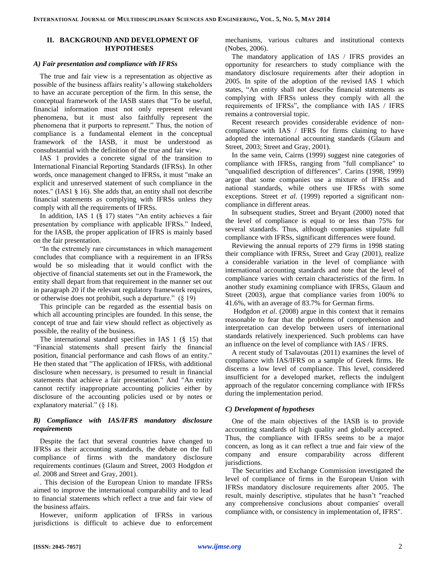# **II. BACKGROUND AND DEVELOPMENT OF HYPOTHESES**

### *A) Fair presentation and compliance with IFRSs*

The true and fair view is a representation as objective as possible of the business affairs reality's allowing stakeholders to have an accurate perception of the firm. In this sense, the conceptual framework of the IASB states that "To be useful, financial information must not only represent relevant phenomena, but it must also faithfully represent the phenomena that it purports to represent." Thus, the notion of compliance is a fundamental element in the conceptual framework of the IASB, it must be understood as consubstantial with the definition of the true and fair view.

IAS 1 provides a concrete signal of the transition to International Financial Reporting Standards (IFRSs). In other words, once management changed to IFRSs, it must "make an explicit and unreserved statement of such compliance in the notes." (IAS1 § 16). She adds that, an entity shall not describe financial statements as complying with IFRSs unless they comply with all the requirements of IFRSs.

In addition, IAS 1 (§ 17) states "An entity achieves a fair presentation by compliance with applicable IFRSs." Indeed, for the IASB, the proper application of IFRS is mainly based on the fair presentation.

"In the extremely rare circumstances in which management concludes that compliance with a requirement in an IFRSs would be so misleading that it would conflict with the objective of financial statements set out in the Framework, the entity shall depart from that requirement in the manner set out in paragraph 20 if the relevant regulatory framework requires, or otherwise does not prohibit, such a departure." (§ 19)

This principle can be regarded as the essential basis on which all accounting principles are founded. In this sense, the concept of true and fair view should reflect as objectively as possible, the reality of the business.

The international standard specifies in IAS 1 (§ 15) that "Financial statements shall present fairly the financial position, financial performance and cash flows of an entity." He then stated that "The application of IFRSs, with additional disclosure when necessary, is presumed to result in financial statements that achieve a fair presentation." And "An entity cannot rectify inappropriate accounting policies either by disclosure of the accounting policies used or by notes or explanatory material." (§ 18).

# *B) Compliance with IAS/IFRS mandatory disclosure requirements*

Despite the fact that several countries have changed to IFRSs as their accounting standards, the debate on the full compliance of firms with the mandatory disclosure requirements continues (Glaum and Street, 2003 Hodgdon *et al*. 2008 and Street and Gray, 2001).

. This decision of the European Union to mandate IFRSs aimed to improve the international comparability and to lead to financial statements which reflect a true and fair view of the business affairs.

However, uniform application of IFRSs in various jurisdictions is difficult to achieve due to enforcement mechanisms, various cultures and institutional contexts (Nobes, 2006).

The mandatory application of IAS / IFRS provides an opportunity for researchers to study compliance with the mandatory disclosure requirements after their adoption in 2005. In spite of the adoption of the revised IAS 1 which states, "An entity shall not describe financial statements as complying with IFRSs unless they comply with all the requirements of IFRSs", the compliance with IAS / IFRS remains a controversial topic.

Recent research provides considerable evidence of noncompliance with IAS / IFRS for firms claiming to have adopted the international accounting standards (Glaum and Street, 2003; Street and Gray, 2001).

In the same vein, Cairns (1999) suggest nine categories of compliance with IFRSs, ranging from "full compliance" to "unqualified description of differences". Carins (1998, 1999) argue that some companies use a mixture of IFRSs and national standards, while others use IFRSs with some exceptions. Street *et al*. (1999) reported a significant noncompliance in different areas.

In subsequent studies, Street and Bryant (2000) noted that the level of compliance is equal to or less than 75% for several standards. Thus, although companies stipulate full compliance with IFRSs, significant differences were found.

Reviewing the annual reports of 279 firms in 1998 stating their compliance with IFRSs, Street and Gray (2001), realize a considerable variation in the level of compliance with international accounting standards and note that the level of compliance varies with certain characteristics of the firm. In another study examining compliance with IFRSs, Glaum and Street (2003), argue that compliance varies from 100% to 41.6%, with an average of 83.7% for German firms.

Hodgdon *et al*. (2008) argue in this context that it remains reasonable to fear that the problems of comprehension and interpretation can develop between users of international standards relatively inexperienced. Such problems can have an influence on the level of compliance with IAS / IFRS.

A recent study of Tsalavoutas (2011) examines the level of compliance with IAS/IFRS on a sample of Greek firms. He discerns a low level of compliance. This level, considered insufficient for a developed market, reflects the indulgent approach of the regulator concerning compliance with IFRSs during the implementation period.

## *C) Development of hypotheses*

One of the main objectives of the IASB is to provide accounting standards of high quality and globally accepted. Thus, the compliance with IFRSs seems to be a major concern, as long as it can reflect a true and fair view of the company and ensure comparability across different jurisdictions.

The Securities and Exchange Commission investigated the level of compliance of firms in the European Union with IFRSs mandatory disclosure requirements after 2005. The result, mainly descriptive, stipulates that he hasn't "reached any comprehensive conclusions about companies' overall compliance with, or consistency in implementation of, IFRS".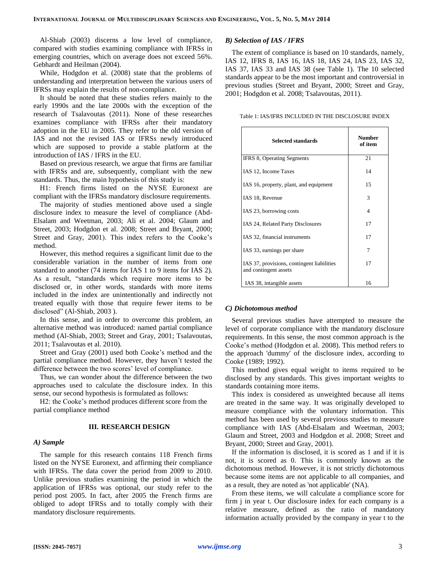Al-Shiab (2003) discerns a low level of compliance, compared with studies examining compliance with IFRSs in emerging countries, which on average does not exceed 56%. Gebhardt and Heilman (2004).

While, Hodgdon et al. (2008) state that the problems of understanding and interpretation between the various users of IFRSs may explain the results of non-compliance.

It should be noted that these studies refers mainly to the early 1990s and the late 2000s with the exception of the research of Tsalavoutas (2011). None of these researches examines compliance with IFRSs after their mandatory adoption in the EU in 2005. They refer to the old version of IAS and not the revised IAS or IFRSs newly introduced which are supposed to provide a stable platform at the introduction of IAS / IFRS in the EU.

Based on previous research, we argue that firms are familiar with IFRSs and are, subsequently, compliant with the new standards. Thus, the main hypothesis of this study is:

H1: French firms listed on the NYSE Euronext are compliant with the IFRSs mandatory disclosure requirements.

The majority of studies mentioned above used a single disclosure index to measure the level of compliance (Abd-Elsalam and Weetman, 2003; Ali et al. 2004; Glaum and Street, 2003; Hodgdon et al. 2008; Street and Bryant, 2000; Street and Gray, 2001). This index refers to the Cooke's method.

However, this method requires a significant limit due to the considerable variation in the number of items from one standard to another (74 items for IAS 1 to 9 items for IAS 2). As a result, "standards which require more items to be disclosed or, in other words, standards with more items included in the index are unintentionally and indirectly not treated equally with those that require fewer items to be disclosed" (Al-Shiab, 2003 ).

In this sense, and in order to overcome this problem, an alternative method was introduced: named partial compliance method (Al-Shiab, 2003; Street and Gray, 2001; Tsalavoutas, 2011; Tsalavoutas et al. 2010).

Street and Gray (2001) used both Cooke's method and the partial compliance method. However, they haven't tested the difference between the two scores' level of compliance.

Thus, we can wonder about the difference between the two approaches used to calculate the disclosure index. In this sense, our second hypothesis is formulated as follows:

H2: the Cooke's method produces different score from the partial compliance method

#### **III. RESEARCH DESIGN**

#### *A) Sample*

The sample for this research contains 118 French firms listed on the NYSE Euronext, and affirming their compliance with IFRSs. The data cover the period from 2009 to 2010. Unlike previous studies examining the period in which the application of IFRSs was optional, our study refer to the period post 2005. In fact, after 2005 the French firms are obliged to adopt IFRSs and to totally comply with their mandatory disclosure requirements.

## *B) Selection of IAS / IFRS*

The extent of compliance is based on 10 standards, namely, IAS 12, IFRS 8, IAS 16, IAS 18, IAS 24, IAS 23, IAS 32, IAS 37, IAS 33 and IAS 38 (see Table 1). The 10 selected standards appear to be the most important and controversial in previous studies (Street and Bryant, 2000; Street and Gray, 2001; Hodgdon et al. 2008; Tsalavoutas, 2011).

Table 1: IAS/IFRS INCLUDED IN THE DISCLOSURE INDEX

| <b>Selected standards</b>                                           | <b>Number</b><br>of item |
|---------------------------------------------------------------------|--------------------------|
| <b>IFRS 8, Operating Segments</b>                                   | 21                       |
| IAS 12, Income Taxes                                                | 14                       |
| IAS 16, property, plant, and equipment                              | 15                       |
| IAS 18, Revenue                                                     | 3                        |
| IAS 23, borrowing costs                                             | 4                        |
| IAS 24, Related Party Disclosures                                   | 17                       |
| IAS 32, financial instruments                                       | 17                       |
| IAS 33, earnings per share                                          | 7                        |
| IAS 37, provisions, contingent liabilities<br>and contingent assets | 17                       |
| IAS 38, intangible assets                                           | 16                       |

#### *C) Dichotomous method*

Several previous studies have attempted to measure the level of corporate compliance with the mandatory disclosure requirements. In this sense, the most common approach is the Cooke's method (Hodgdon et al. 2008). This method refers to the approach 'dummy' of the disclosure index, according to Cooke (1989; 1992).

This method gives equal weight to items required to be disclosed by any standards. This gives important weights to standards containing more items.

This index is considered as unweighted because all items are treated in the same way. It was originally developed to measure compliance with the voluntary information. This method has been used by several previous studies to measure compliance with IAS (Abd-Elsalam and Weetman, 2003; Glaum and Street, 2003 and Hodgdon et al. 2008; Street and Bryant, 2000; Street and Gray, 2001).

If the information is disclosed, it is scored as 1 and if it is not, it is scored as 0. This is commonly known as the dichotomous method. However, it is not strictly dichotomous because some items are not applicable to all companies, and as a result, they are noted as 'not applicable' (NA).

From these items, we will calculate a compliance score for firm j in year t. Our disclosure index for each company is a relative measure, defined as the ratio of mandatory information actually provided by the company in year t to the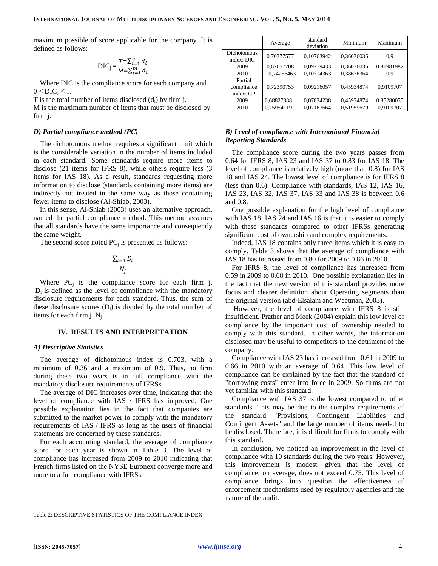maximum possible of score applicable for the company. It is defined as follows:

$$
DIC_j = \frac{T = \sum_{i=1}^{n} d_i}{M = \sum_{i=1}^{m} d_i}
$$

Where DIC is the compliance score for each company and  $0 \leq DIC_J \leq 1$ .

T is the total number of items disclosed  $(d_i)$  by firm j.

M is the maximum number of items that must be disclosed by firm j.

#### *D) Partial compliance method (PC)*

The dichotomous method requires a significant limit which is the considerable variation in the number of items included in each standard. Some standards require more items to disclose (21 items for IFRS 8), while others require less (3 items for IAS 18). As a result, standards requesting more information to disclose (standards containing more items) are indirectly not treated in the same way as those containing fewer items to disclose (Al-Shiab, 2003).

In this sense, Al-Shiab (2003) uses an alternative approach, named the partial compliance method. This method assumes that all standards have the same importance and consequently the same weight.

The second score noted  $PC_j$  is presented as follows:

$$
\frac{\sum_{i=1} D_i}{N_i}
$$

Where  $PC_j$  is the compliance score for each firm j.  $D_i$  is defined as the level of compliance with the mandatory disclosure requirements for each standard. Thus, the sum of these disclosure scores  $(D_i)$  is divided by the total number of items for each firm  $j$ ,  $N_i$ 

#### **IV. RESULTS AND INTERPRETATION**

#### *A) Descriptive Statistics*

The average of dichotomous index is 0.703, with a minimum of 0.36 and a maximum of 0.9. Thus, no firm during these two years is in full compliance with the mandatory disclosure requirements of IFRSs.

The average of DIC increases over time, indicating that the level of compliance with IAS / IFRS has improved. One possible explanation lies in the fact that companies are submitted to the market power to comply with the mandatory requirements of IAS / IFRS as long as the users of financial statements are concerned by these standards.

For each accounting standard, the average of compliance score for each year is shown in Table 3. The level of compliance has increased from 2009 to 2010 indicating that French firms listed on the NYSE Euronext converge more and more to a full compliance with IFRSs.

|                                    | Average    | standard<br>deviation | Minimum    | Maximum    |
|------------------------------------|------------|-----------------------|------------|------------|
| <b>Dichotomous</b><br>index: DIC   | 0,70377577 | 0,10763942            | 0,36036036 | 0.9        |
| 2009                               | 0,67057708 | 0,09779433            | 0,36036036 | 0,81981982 |
| 2010                               | 0,74256463 | 0,10714363            | 0,38636364 | 0.9        |
| Partial<br>compliance<br>index: CP | 0.72390753 | 0,09216057            | 0.45934874 | 0,9109707  |
| 2009                               | 0,68827388 | 0,07834238            | 0,45934874 | 0,85280055 |
| 2010                               | 0.75954119 | 0,07167664            | 0,51959679 | 0,9109707  |

## *B) Level of compliance with International Financial Reporting Standards*

The compliance score during the two years passes from 0.64 for IFRS 8, IAS 23 and IAS 37 to 0.83 for IAS 18. The level of compliance is relatively high (more than 0.8) for IAS 18 and IAS 24. The lowest level of compliance is for IFRS 8 (less than 0.6). Compliance with standards, IAS 12, IAS 16, IAS 23, IAS 32, IAS 37, IAS 33 and IAS 38 is between 0.6 and 0.8.

One possible explanation for the high level of compliance with IAS 18, IAS 24 and IAS 16 is that it is easier to comply with these standards compared to other IFRSs generating significant cost of ownership and complex requirements.

Indeed, IAS 18 contains only three items which it is easy to comply. Table 3 shows that the average of compliance with IAS 18 has increased from 0.80 for 2009 to 0.86 in 2010.

For IFRS 8, the level of compliance has increased from 0.59 in 2009 to 0.68 in 2010. One possible explanation lies in the fact that the new version of this standard provides more focus and clearer definition about Operating segments than the original version (abd-Elsalam and Weetman, 2003).

However, the level of compliance with IFRS 8 is still insufficient. Prather and Meek (2004) explain this low level of compliance by the important cost of ownership needed to comply with this standard. In other words, the information disclosed may be useful to competitors to the detriment of the company.

Compliance with IAS 23 has increased from 0.61 in 2009 to 0.66 in 2010 with an average of 0.64. This low level of compliance can be explained by the fact that the standard of "borrowing costs" enter into force in 2009. So firms are not yet familiar with this standard.

Compliance with IAS 37 is the lowest compared to other standards. This may be due to the complex requirements of the standard "Provisions, Contingent Liabilities and Contingent Assets" and the large number of items needed to be disclosed. Therefore, it is difficult for firms to comply with this standard.

In conclusion, we noticed an improvement in the level of compliance with 10 standards during the two years. However, this improvement is modest, given that the level of compliance, on average, does not exceed 0.75. This level of compliance brings into question the effectiveness of enforcement mechanisms used by regulatory agencies and the nature of the audit.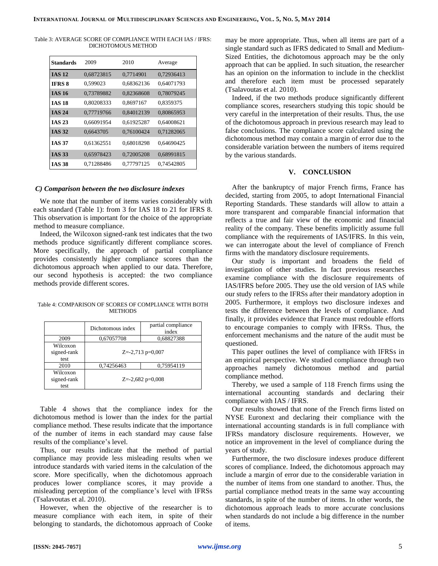Table 3: AVERAGE SCORE OF COMPLIANCE WITH EACH IAS / IFRS: DICHOTOMOUS METHOD

| <b>Standards</b> | 2009       | 2010       | Average    |
|------------------|------------|------------|------------|
| <b>IAS 12</b>    | 0,68723815 | 0,7714901  | 0,72936413 |
| <b>IFRS 8</b>    | 0,599023   | 0,68362136 | 0.64071793 |
| <b>IAS 16</b>    | 0,73789882 | 0,82368608 | 0,78079245 |
| <b>IAS 18</b>    | 0,80208333 | 0,8697167  | 0,8359375  |
| <b>IAS 24</b>    | 0,77719766 | 0,84012139 | 0,80865953 |
| <b>IAS 23</b>    | 0,66091954 | 0.61925287 | 0,64008621 |
| <b>IAS 32</b>    | 0.6643705  | 0.76100424 | 0.71282065 |
| <b>IAS 37</b>    | 0.61362551 | 0,68018298 | 0,64690425 |
| <b>IAS 33</b>    | 0,65978423 | 0,72005208 | 0,68991815 |
| IAS 38           | 0,71288486 | 0,77797125 | 0.74542805 |

#### *C) Comparison between the two disclosure indexes*

We note that the number of items varies considerably with each standard (Table 1): from 3 for IAS 18 to 21 for IFRS 8. This observation is important for the choice of the appropriate method to measure compliance.

Indeed, the Wilcoxon signed-rank test indicates that the two methods produce significantly different compliance scores. More specifically, the approach of partial compliance provides consistently higher compliance scores than the dichotomous approach when applied to our data. Therefore, our second hypothesis is accepted: the two compliance methods provide different scores.

Table 4: COMPARISON OF SCORES OF COMPLIANCE WITH BOTH **METHODS** 

|                                 | Dichotomous index    | partial compliance<br>index |
|---------------------------------|----------------------|-----------------------------|
| 2009                            | 0,67057708           | 0,68827388                  |
| Wilcoxon<br>signed-rank<br>test | $Z = -2,713$ p=0,007 |                             |
| 2010                            | 0,74256463           | 0.75954119                  |
| Wilcoxon<br>signed-rank<br>test | $Z = -2,682$ p=0,008 |                             |

Table 4 shows that the compliance index for the dichotomous method is lower than the index for the partial compliance method. These results indicate that the importance of the number of items in each standard may cause false results of the compliance's level.

Thus, our results indicate that the method of partial compliance may provide less misleading results when we introduce standards with varied items in the calculation of the score. More specifically, when the dichotomous approach produces lower compliance scores, it may provide a misleading perception of the compliance's level with IFRSs (Tsalavoutas et al. 2010).

However, when the objective of the researcher is to measure compliance with each item, in spite of their belonging to standards, the dichotomous approach of Cooke

may be more appropriate. Thus, when all items are part of a single standard such as IFRS dedicated to Small and Medium-Sized Entities, the dichotomous approach may be the only approach that can be applied. In such situation, the researcher has an opinion on the information to include in the checklist and therefore each item must be processed separately (Tsalavoutas et al*.* 2010).

Indeed, if the two methods produce significantly different compliance scores, researchers studying this topic should be very careful in the interpretation of their results. Thus, the use of the dichotomous approach in previous research may lead to false conclusions. The compliance score calculated using the dichotomous method may contain a margin of error due to the considerable variation between the numbers of items required by the various standards.

## **V. CONCLUSION**

After the bankruptcy of major French firms, France has decided, starting from 2005, to adopt [International Financial](http://www.google.fr/url?sa=t&rct=j&q=&esrc=s&frm=1&source=web&cd=1&cad=rja&sqi=2&ved=0CDwQFjAA&url=http%3A%2F%2Ffr.wikipedia.org%2Fwiki%2FInternational_Financial_Reporting_Standards&ei=KtuMUuj0BIOO7Aag3oHoBA&usg=AFQjCNHGeUZLGCzcUpQLsb9Zhrux9oKrVA&bvm=bv.56643336,d.d2k)  [Reporting Standards.](http://www.google.fr/url?sa=t&rct=j&q=&esrc=s&frm=1&source=web&cd=1&cad=rja&sqi=2&ved=0CDwQFjAA&url=http%3A%2F%2Ffr.wikipedia.org%2Fwiki%2FInternational_Financial_Reporting_Standards&ei=KtuMUuj0BIOO7Aag3oHoBA&usg=AFQjCNHGeUZLGCzcUpQLsb9Zhrux9oKrVA&bvm=bv.56643336,d.d2k) These standards will allow to attain a more transparent and comparable financial information that reflects a true and fair view of the economic and financial reality of the company. These benefits implicitly assume full compliance with the requirements of IAS/IFRS. In this vein, we can interrogate about the level of compliance of French firms with the mandatory disclosure requirements.

Our study is important and broadens the field of investigation of other studies. In fact previous researches examine compliance with the disclosure requirements of IAS/IFRS before 2005. They use the old version of IAS while our study refers to the IFRSs after their mandatory adoption in 2005. Furthermore, it employs two disclosure indexes and tests the difference between the levels of compliance. And finally, it provides evidence that France must redouble efforts to encourage companies to comply with IFRSs. Thus, the enforcement mechanisms and the nature of the audit must be questioned.

This paper outlines the level of compliance with IFRSs in an empirical perspective. We studied compliance through two approaches namely dichotomous method and partial compliance method.

Thereby, we used a sample of 118 French firms using the international accounting standards and declaring their compliance with IAS / IFRS.

Our results showed that none of the French firms listed on NYSE Euronext and declaring their compliance with the international accounting standards is in full compliance with IFRSs mandatory disclosure requirements. However, we notice an improvement in the level of compliance during the years of study.

Furthermore, the two disclosure indexes produce different scores of compliance. Indeed, the dichotomous approach may include a margin of error due to the considerable variation in the number of items from one standard to another. Thus, the partial compliance method treats in the same way accounting standards, in spite of the number of items. In other words, the dichotomous approach leads to more accurate conclusions when standards do not include a big difference in the number of items.